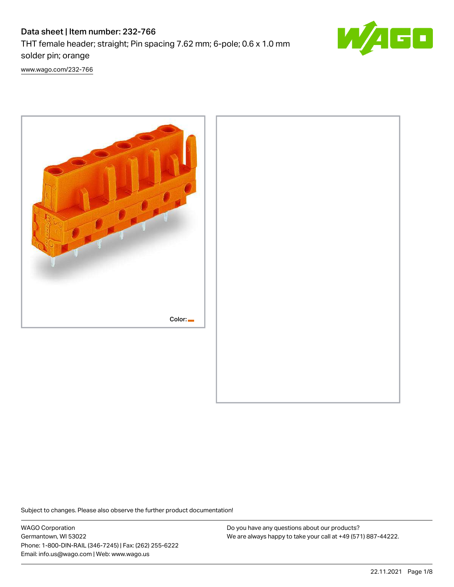# Data sheet | Item number: 232-766 THT female header; straight; Pin spacing 7.62 mm; 6-pole; 0.6 x 1.0 mm solder pin; orange



[www.wago.com/232-766](http://www.wago.com/232-766)



Subject to changes. Please also observe the further product documentation!

WAGO Corporation Germantown, WI 53022 Phone: 1-800-DIN-RAIL (346-7245) | Fax: (262) 255-6222 Email: info.us@wago.com | Web: www.wago.us

Do you have any questions about our products? We are always happy to take your call at +49 (571) 887-44222.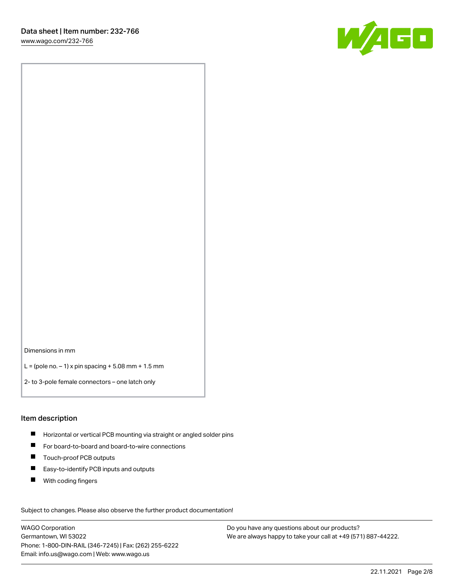

Dimensions in mm

L = (pole no.  $-1$ ) x pin spacing + 5.08 mm + 1.5 mm

2- to 3-pole female connectors – one latch only

#### Item description

- **H** Horizontal or vertical PCB mounting via straight or angled solder pins
- For board-to-board and board-to-wire connections
- Touch-proof PCB outputs  $\blacksquare$
- $\blacksquare$ Easy-to-identify PCB inputs and outputs
- $\blacksquare$ With coding fingers

Subject to changes. Please also observe the further product documentation! Data

WAGO Corporation Germantown, WI 53022 Phone: 1-800-DIN-RAIL (346-7245) | Fax: (262) 255-6222 Email: info.us@wago.com | Web: www.wago.us

Do you have any questions about our products? We are always happy to take your call at +49 (571) 887-44222.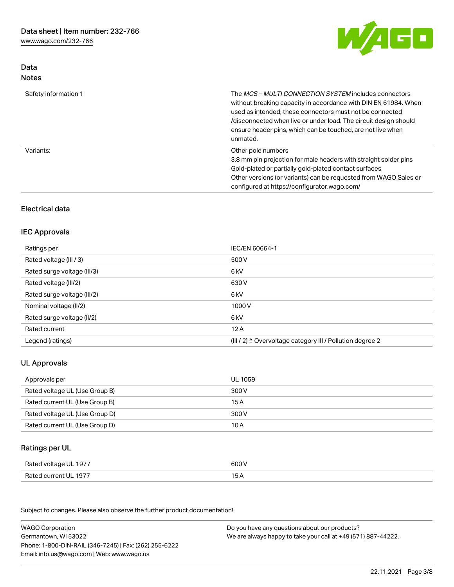[www.wago.com/232-766](http://www.wago.com/232-766)

Data Notes



| Safety information 1 | The <i>MCS – MULTI CONNECTION SYSTEM</i> includes connectors<br>without breaking capacity in accordance with DIN EN 61984. When<br>used as intended, these connectors must not be connected<br>/disconnected when live or under load. The circuit design should<br>ensure header pins, which can be touched, are not live when<br>unmated. |
|----------------------|--------------------------------------------------------------------------------------------------------------------------------------------------------------------------------------------------------------------------------------------------------------------------------------------------------------------------------------------|
| Variants:            | Other pole numbers<br>3.8 mm pin projection for male headers with straight solder pins<br>Gold-plated or partially gold-plated contact surfaces<br>Other versions (or variants) can be requested from WAGO Sales or<br>configured at https://configurator.wago.com/                                                                        |

# Electrical data

### IEC Approvals

| Ratings per                 | IEC/EN 60664-1                                                        |
|-----------------------------|-----------------------------------------------------------------------|
| Rated voltage (III / 3)     | 500 V                                                                 |
| Rated surge voltage (III/3) | 6 kV                                                                  |
| Rated voltage (III/2)       | 630 V                                                                 |
| Rated surge voltage (III/2) | 6 kV                                                                  |
| Nominal voltage (II/2)      | 1000 V                                                                |
| Rated surge voltage (II/2)  | 6 kV                                                                  |
| Rated current               | 12A                                                                   |
| Legend (ratings)            | $(III / 2)$ $\triangle$ Overvoltage category III / Pollution degree 2 |

# UL Approvals

| Approvals per                  | UL 1059 |
|--------------------------------|---------|
| Rated voltage UL (Use Group B) | 300 V   |
| Rated current UL (Use Group B) | 15 A    |
| Rated voltage UL (Use Group D) | 300 V   |
| Rated current UL (Use Group D) | 10 A    |

# Ratings per UL

| Rated voltage UL 1977 | 600 V |
|-----------------------|-------|
| Rated current UL 1977 |       |

| <b>WAGO Corporation</b>                                | Do you have any questions about our products?                 |
|--------------------------------------------------------|---------------------------------------------------------------|
| Germantown, WI 53022                                   | We are always happy to take your call at +49 (571) 887-44222. |
| Phone: 1-800-DIN-RAIL (346-7245)   Fax: (262) 255-6222 |                                                               |
| Email: info.us@wago.com   Web: www.wago.us             |                                                               |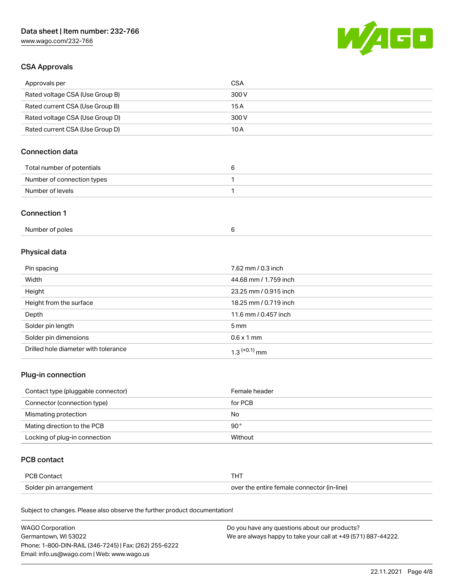# Data sheet | Item number: 232-766

[www.wago.com/232-766](http://www.wago.com/232-766)



## CSA Approvals

| Approvals per                   | CSA   |
|---------------------------------|-------|
| Rated voltage CSA (Use Group B) | 300 V |
| Rated current CSA (Use Group B) | 15 A  |
| Rated voltage CSA (Use Group D) | 300 V |
| Rated current CSA (Use Group D) | 10 A  |

# Connection data

| Total number of potentials |  |
|----------------------------|--|
| Number of connection types |  |
| Number of levels           |  |

#### Connection 1

| Number of poles |  |
|-----------------|--|
|-----------------|--|

# Physical data

| Pin spacing                          | 7.62 mm / 0.3 inch    |
|--------------------------------------|-----------------------|
| Width                                | 44.68 mm / 1.759 inch |
| Height                               | 23.25 mm / 0.915 inch |
| Height from the surface              | 18.25 mm / 0.719 inch |
| Depth                                | 11.6 mm / 0.457 inch  |
| Solder pin length                    | $5 \,\mathrm{mm}$     |
| Solder pin dimensions                | $0.6 \times 1$ mm     |
| Drilled hole diameter with tolerance | $1.3$ $(+0.1)$ mm     |

# Plug-in connection

| Contact type (pluggable connector) | Female header |
|------------------------------------|---------------|
| Connector (connection type)        | for PCB       |
| Mismating protection               | No            |
| Mating direction to the PCB        | $90^{\circ}$  |
| Locking of plug-in connection      | Without       |

# PCB contact

| PCB Contact            |                                            |
|------------------------|--------------------------------------------|
| Solder pin arrangement | over the entire female connector (in-line) |

| <b>WAGO Corporation</b>                                | Do you have any questions about our products?                 |
|--------------------------------------------------------|---------------------------------------------------------------|
| Germantown, WI 53022                                   | We are always happy to take your call at +49 (571) 887-44222. |
| Phone: 1-800-DIN-RAIL (346-7245)   Fax: (262) 255-6222 |                                                               |
| Email: info.us@wago.com   Web: www.wago.us             |                                                               |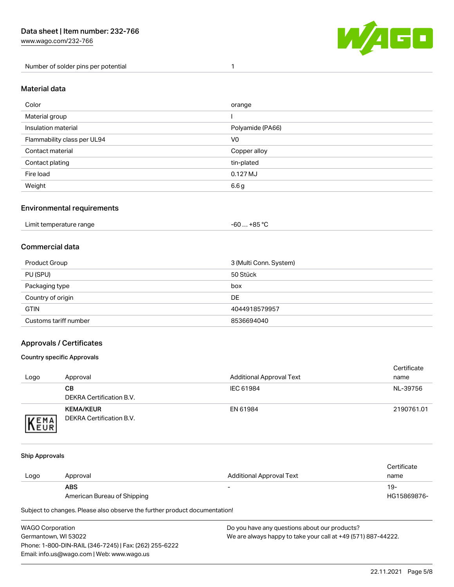Number of solder pins per potential 1



#### Material data

| Color                       | orange           |
|-----------------------------|------------------|
| Material group              |                  |
| Insulation material         | Polyamide (PA66) |
| Flammability class per UL94 | V <sub>0</sub>   |
| Contact material            | Copper alloy     |
| Contact plating             | tin-plated       |
| Fire load                   | 0.127 MJ         |
| Weight                      | 6.6 g            |

### Environmental requirements

## Commercial data

| Product Group         | 3 (Multi Conn. System) |
|-----------------------|------------------------|
| PU (SPU)              | 50 Stück               |
| Packaging type        | box                    |
| Country of origin     | <b>DE</b>              |
| <b>GTIN</b>           | 4044918579957          |
| Customs tariff number | 8536694040             |

### Approvals / Certificates

#### Country specific Approvals

| Logo                | Approval                                            | <b>Additional Approval Text</b> | Certificate<br>name |
|---------------------|-----------------------------------------------------|---------------------------------|---------------------|
|                     | CВ<br>DEKRA Certification B.V.                      | IEC 61984                       | NL-39756            |
| EMA<br><b>INEUR</b> | <b>KEMA/KEUR</b><br><b>DEKRA Certification B.V.</b> | EN 61984                        | 2190761.01          |

#### Ship Approvals

| Logo | Approval                    | Additional Approval Text | Certificate<br>name |
|------|-----------------------------|--------------------------|---------------------|
|      | <b>ABS</b>                  | $\overline{\phantom{0}}$ | 19-                 |
|      | American Bureau of Shipping |                          | HG15869876-         |

| WAGO Corporation                                       | Do you have any questions about our products?                 |
|--------------------------------------------------------|---------------------------------------------------------------|
| Germantown, WI 53022                                   | We are always happy to take your call at +49 (571) 887-44222. |
| Phone: 1-800-DIN-RAIL (346-7245)   Fax: (262) 255-6222 |                                                               |
| Email: info.us@wago.com   Web: www.wago.us             |                                                               |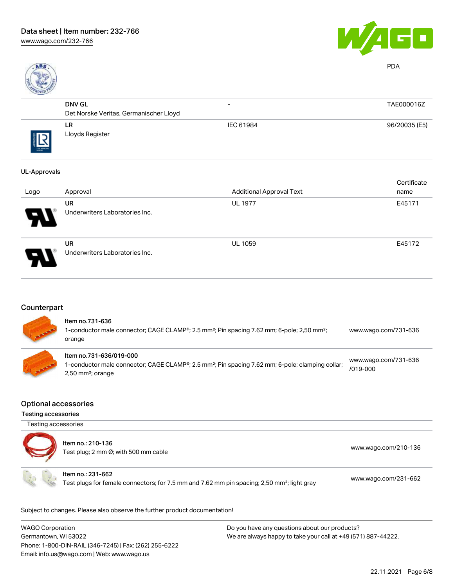



PDA

|           | <b>DNV GL</b>                          | $\overline{\phantom{0}}$ | TAE000016Z    |
|-----------|----------------------------------------|--------------------------|---------------|
|           | Det Norske Veritas, Germanischer Lloyd |                          |               |
| THE ARROW | LR.<br>Lloyds Register                 | IEC 61984                | 96/20035 (E5) |

#### UL-Approvals

|      |                                             |                                 | Certificate |
|------|---------------------------------------------|---------------------------------|-------------|
| Logo | Approval                                    | <b>Additional Approval Text</b> | name        |
| 8    | <b>UR</b><br>Underwriters Laboratories Inc. | <b>UL 1977</b>                  | E45171      |
| p    | <b>UR</b><br>Underwriters Laboratories Inc. | <b>UL 1059</b>                  | E45172      |

# **Counterpart**

| <b>COMMAND</b> | Item no.731-636<br>1-conductor male connector; CAGE CLAMP®; 2.5 mm <sup>2</sup> ; Pin spacing 7.62 mm; 6-pole; 2,50 mm <sup>2</sup> ;<br>orange                            | www.wago.com/731-636                 |
|----------------|----------------------------------------------------------------------------------------------------------------------------------------------------------------------------|--------------------------------------|
| <b>TARAB</b>   | Item no.731-636/019-000<br>1-conductor male connector; CAGE CLAMP®; 2.5 mm <sup>2</sup> ; Pin spacing 7.62 mm; 6-pole; clamping collar;<br>$2,50$ mm <sup>2</sup> ; orange | www.wago.com/731-636<br>$/019 - 000$ |

#### Optional accessories

Testing accessories

Testing accessories

| Item no.: 210-136<br>Test plug; 2 mm Ø; with 500 mm cable                                                                    | www.wago.com/210-136 |
|------------------------------------------------------------------------------------------------------------------------------|----------------------|
| Item no.: 231-662<br>Test plugs for female connectors; for 7.5 mm and 7.62 mm pin spacing; 2,50 mm <sup>2</sup> ; light gray | www.wago.com/231-662 |

| <b>WAGO Corporation</b>                                | Do you have any questions about our products?                 |
|--------------------------------------------------------|---------------------------------------------------------------|
| Germantown, WI 53022                                   | We are always happy to take your call at +49 (571) 887-44222. |
| Phone: 1-800-DIN-RAIL (346-7245)   Fax: (262) 255-6222 |                                                               |
| Email: info.us@wago.com   Web: www.wago.us             |                                                               |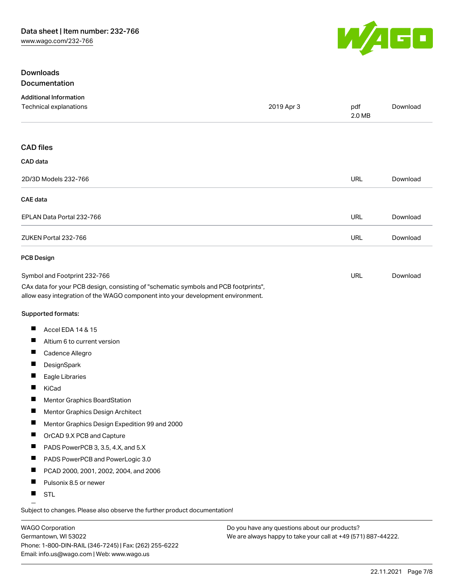

### **Downloads Documentation**

| <b>Additional Information</b>                                                                                                                                          |            |               |          |
|------------------------------------------------------------------------------------------------------------------------------------------------------------------------|------------|---------------|----------|
| Technical explanations                                                                                                                                                 | 2019 Apr 3 | pdf<br>2.0 MB | Download |
| <b>CAD files</b>                                                                                                                                                       |            |               |          |
| CAD data                                                                                                                                                               |            |               |          |
| 2D/3D Models 232-766                                                                                                                                                   |            | <b>URL</b>    | Download |
| <b>CAE</b> data                                                                                                                                                        |            |               |          |
| EPLAN Data Portal 232-766                                                                                                                                              |            | <b>URL</b>    | Download |
| ZUKEN Portal 232-766                                                                                                                                                   |            | <b>URL</b>    | Download |
| <b>PCB Design</b>                                                                                                                                                      |            |               |          |
| Symbol and Footprint 232-766                                                                                                                                           |            | <b>URL</b>    | Download |
| CAx data for your PCB design, consisting of "schematic symbols and PCB footprints",<br>allow easy integration of the WAGO component into your development environment. |            |               |          |
| Supported formats:                                                                                                                                                     |            |               |          |
| Ш<br>Accel EDA 14 & 15                                                                                                                                                 |            |               |          |
| ш<br>Altium 6 to current version                                                                                                                                       |            |               |          |
| ш<br>Cadence Allegro                                                                                                                                                   |            |               |          |
| Ш<br>DesignSpark                                                                                                                                                       |            |               |          |
| ш<br>Eagle Libraries                                                                                                                                                   |            |               |          |
| ш<br>KiCad                                                                                                                                                             |            |               |          |
| H.<br>Mentor Graphics BoardStation                                                                                                                                     |            |               |          |
| Mentor Graphics Design Architect                                                                                                                                       |            |               |          |
| Mentor Graphics Design Expedition 99 and 2000                                                                                                                          |            |               |          |
| ш<br>OrCAD 9.X PCB and Capture                                                                                                                                         |            |               |          |
| ш<br>PADS PowerPCB 3, 3.5, 4.X, and 5.X                                                                                                                                |            |               |          |
| ш<br>PADS PowerPCB and PowerLogic 3.0                                                                                                                                  |            |               |          |
| ш<br>PCAD 2000, 2001, 2002, 2004, and 2006                                                                                                                             |            |               |          |
| ш<br>Pulsonix 8.5 or newer                                                                                                                                             |            |               |          |
| <b>STL</b><br>ш                                                                                                                                                        |            |               |          |

Subject to changes. Please also observe the further product documentation!

WAGO Corporation Germantown, WI 53022 Phone: 1-800-DIN-RAIL (346-7245) | Fax: (262) 255-6222 Email: info.us@wago.com | Web: www.wago.us

Do you have any questions about our products? We are always happy to take your call at +49 (571) 887-44222.